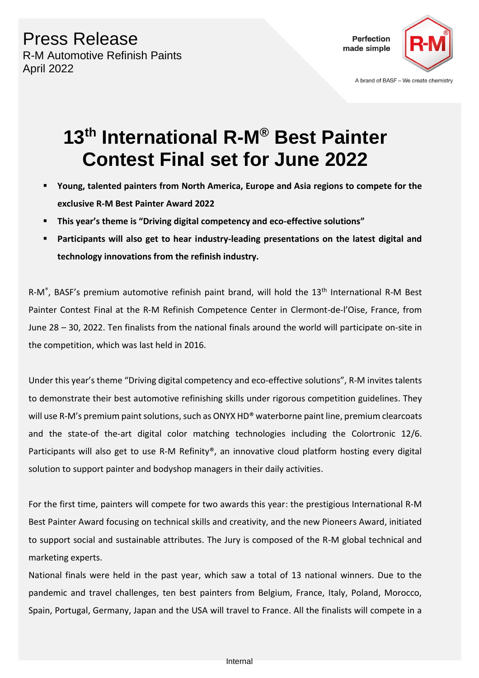Press Release R-M Automotive Refinish Paints April 2022



## **13th International R-M® Best Painter Contest Final set for June 2022**

- **Young, talented painters from North America, Europe and Asia regions to compete for the exclusive R-M Best Painter Award 2022**
- **This year's theme is "Driving digital competency and eco-effective solutions"**
- Participants will also get to hear industry-leading presentations on the latest digital and **technology innovations from the refinish industry.**

R-M<sup>®</sup>, BASF's premium automotive refinish paint brand, will hold the 13<sup>th</sup> International R-M Best Painter Contest Final at the R-M Refinish Competence Center in Clermont-de-l'Oise, France, from June 28 – 30, 2022. Ten finalists from the national finals around the world will participate on-site in the competition, which was last held in 2016.

Under this year's theme "Driving digital competency and eco-effective solutions", R-M invites talents to demonstrate their best automotive refinishing skills under rigorous competition guidelines. They will use R-M's premium paint solutions, such as ONYX HD<sup>®</sup> waterborne paint line, premium clearcoats and the state-of the-art digital color matching technologies including the Colortronic 12/6. Participants will also get to use R-M Refinity®, an innovative cloud platform hosting every digital solution to support painter and bodyshop managers in their daily activities.

For the first time, painters will compete for two awards this year: the prestigious International R-M Best Painter Award focusing on technical skills and creativity, and the new Pioneers Award, initiated to support social and sustainable attributes. The Jury is composed of the R-M global technical and marketing experts.

National finals were held in the past year, which saw a total of 13 national winners. Due to the pandemic and travel challenges, ten best painters from Belgium, France, Italy, Poland, Morocco, Spain, Portugal, Germany, Japan and the USA will travel to France. All the finalists will compete in a